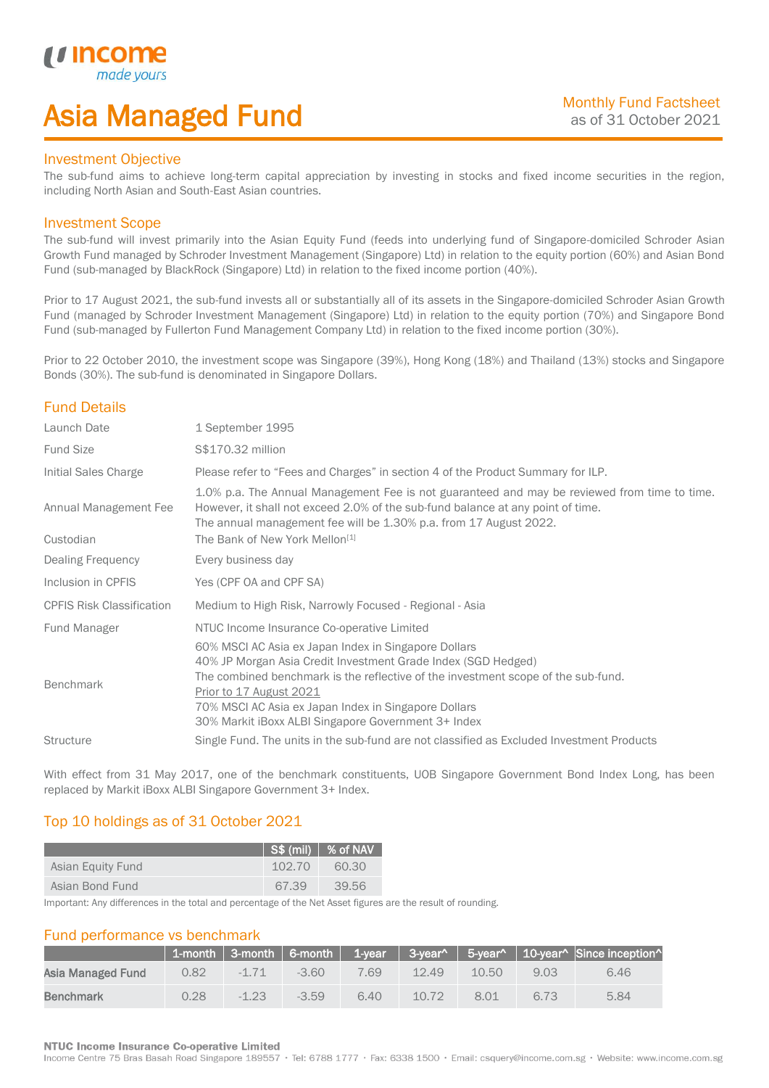# Asia Managed Fund

## Investment Objective

*i i* Incol

I

The sub-fund aims to achieve long-term capital appreciation by investing in stocks and fixed income securities in the region, including North Asian and South-East Asian countries.

## Investment Scope

The sub-fund will invest primarily into the Asian Equity Fund (feeds into underlying fund of Singapore-domiciled Schroder Asian Growth Fund managed by Schroder Investment Management (Singapore) Ltd) in relation to the equity portion (60%) and Asian Bond Fund (sub-managed by BlackRock (Singapore) Ltd) in relation to the fixed income portion (40%).

Prior to 17 August 2021, the sub-fund invests all or substantially all of its assets in the Singapore-domiciled Schroder Asian Growth Fund (managed by Schroder Investment Management (Singapore) Ltd) in relation to the equity portion (70%) and Singapore Bond Fund (sub-managed by Fullerton Fund Management Company Ltd) in relation to the fixed income portion (30%).

Prior to 22 October 2010, the investment scope was Singapore (39%), Hong Kong (18%) and Thailand (13%) stocks and Singapore Bonds (30%). The sub-fund is denominated in Singapore Dollars.

# Fund Details

| Launch Date                        | 1 September 1995                                                                                                                                                                                                                                                                                                                                     |
|------------------------------------|------------------------------------------------------------------------------------------------------------------------------------------------------------------------------------------------------------------------------------------------------------------------------------------------------------------------------------------------------|
| <b>Fund Size</b>                   | \$\$170.32 million                                                                                                                                                                                                                                                                                                                                   |
| Initial Sales Charge               | Please refer to "Fees and Charges" in section 4 of the Product Summary for ILP.                                                                                                                                                                                                                                                                      |
| Annual Management Fee<br>Custodian | 1.0% p.a. The Annual Management Fee is not guaranteed and may be reviewed from time to time.<br>However, it shall not exceed 2.0% of the sub-fund balance at any point of time.<br>The annual management fee will be 1.30% p.a. from 17 August 2022.<br>The Bank of New York Mellon <sup>[1]</sup>                                                   |
| Dealing Frequency                  | Every business day                                                                                                                                                                                                                                                                                                                                   |
| Inclusion in CPFIS                 | Yes (CPF OA and CPF SA)                                                                                                                                                                                                                                                                                                                              |
| <b>CPFIS Risk Classification</b>   | Medium to High Risk, Narrowly Focused - Regional - Asia                                                                                                                                                                                                                                                                                              |
| Fund Manager                       | NTUC Income Insurance Co-operative Limited                                                                                                                                                                                                                                                                                                           |
| Benchmark                          | 60% MSCI AC Asia ex Japan Index in Singapore Dollars<br>40% JP Morgan Asia Credit Investment Grade Index (SGD Hedged)<br>The combined benchmark is the reflective of the investment scope of the sub-fund.<br>Prior to 17 August 2021<br>70% MSCI AC Asia ex Japan Index in Singapore Dollars<br>30% Markit iBoxx ALBI Singapore Government 3+ Index |
| <b>Structure</b>                   | Single Fund. The units in the sub-fund are not classified as Excluded Investment Products                                                                                                                                                                                                                                                            |

With effect from 31 May 2017, one of the benchmark constituents, UOB Singapore Government Bond Index Long, has been replaced by Markit iBoxx ALBI Singapore Government 3+ Index.

# Top 10 holdings as of 31 October 2021

|                   |        | $\left\vert \cdot\right\vert$ S\$ (mil) $\left\vert \right\vert$ % of NAV $^{\dagger}$ |
|-------------------|--------|----------------------------------------------------------------------------------------|
| Asian Equity Fund | 102.70 | 60.30                                                                                  |
| Asian Bond Fund   | 67.39  | 39.56                                                                                  |

Important: Any differences in the total and percentage of the Net Asset figures are the result of rounding.

## Fund performance vs benchmark

|                   |      |         |         |      |       |       |      | $\parallel$ 1-month $\parallel$ 3-month $\parallel$ 6-month $\parallel$ 1-year $\parallel$ 3-year^ $\parallel$ 5-year^ $\parallel$ 10-year^ Since inception^ |
|-------------------|------|---------|---------|------|-------|-------|------|--------------------------------------------------------------------------------------------------------------------------------------------------------------|
| Asia Managed Fund | 0.82 | $-1.71$ | $-3.60$ | 7.69 | 12.49 | 10.50 | 9.03 | 6.46                                                                                                                                                         |
| Benchmark         | 0.28 | $-123$  | $-3.59$ | 6.40 | 10.72 | 8.01  | 6.73 | 5.84                                                                                                                                                         |

### **NTUC Income Insurance Co-operative Limited**

Income Centre 75 Bras Basah Road Singapore 189557 · Tel: 6788 1777 · Fax: 6338 1500 · Email: csquery@income.com.sg · Website: www.income.com.sg